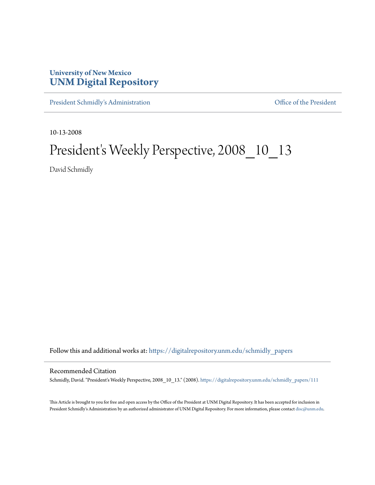## **University of New Mexico [UNM Digital Repository](https://digitalrepository.unm.edu?utm_source=digitalrepository.unm.edu%2Fschmidly_papers%2F111&utm_medium=PDF&utm_campaign=PDFCoverPages)**

[President Schmidly's Administration](https://digitalrepository.unm.edu/schmidly_papers?utm_source=digitalrepository.unm.edu%2Fschmidly_papers%2F111&utm_medium=PDF&utm_campaign=PDFCoverPages) [Office of the President](https://digitalrepository.unm.edu/ofc_president?utm_source=digitalrepository.unm.edu%2Fschmidly_papers%2F111&utm_medium=PDF&utm_campaign=PDFCoverPages)

10-13-2008

## President's Weekly Perspective, 2008\_10\_13

David Schmidly

Follow this and additional works at: [https://digitalrepository.unm.edu/schmidly\\_papers](https://digitalrepository.unm.edu/schmidly_papers?utm_source=digitalrepository.unm.edu%2Fschmidly_papers%2F111&utm_medium=PDF&utm_campaign=PDFCoverPages)

## Recommended Citation

Schmidly, David. "President's Weekly Perspective, 2008\_10\_13." (2008). [https://digitalrepository.unm.edu/schmidly\\_papers/111](https://digitalrepository.unm.edu/schmidly_papers/111?utm_source=digitalrepository.unm.edu%2Fschmidly_papers%2F111&utm_medium=PDF&utm_campaign=PDFCoverPages)

This Article is brought to you for free and open access by the Office of the President at UNM Digital Repository. It has been accepted for inclusion in President Schmidly's Administration by an authorized administrator of UNM Digital Repository. For more information, please contact [disc@unm.edu](mailto:disc@unm.edu).